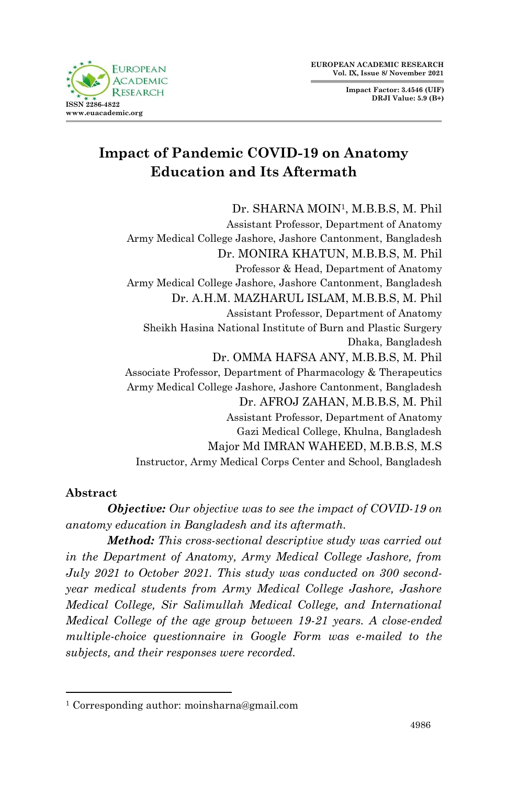**Impact Factor: 3.4546 (UIF) DRJI Value: 5.9 (B+)**



# **Impact of Pandemic COVID-19 on Anatomy Education and Its Aftermath**

Dr. SHARNA MOIN1, M.B.B.S, M. Phil

Assistant Professor, Department of Anatomy Army Medical College Jashore, Jashore Cantonment, Bangladesh Dr. MONIRA KHATUN, M.B.B.S, M. Phil Professor & Head, Department of Anatomy Army Medical College Jashore, Jashore Cantonment, Bangladesh Dr. A.H.M. MAZHARUL ISLAM, M.B.B.S, M. Phil Assistant Professor, Department of Anatomy Sheikh Hasina National Institute of Burn and Plastic Surgery Dhaka, Bangladesh Dr. OMMA HAFSA ANY, M.B.B.S, M. Phil Associate Professor, Department of Pharmacology & Therapeutics Army Medical College Jashore, Jashore Cantonment, Bangladesh Dr. AFROJ ZAHAN, M.B.B.S, M. Phil Assistant Professor, Department of Anatomy Gazi Medical College, Khulna, Bangladesh Major Md IMRAN WAHEED, M.B.B.S, M.S Instructor, Army Medical Corps Center and School, Bangladesh

## **Abstract**

1

*Objective: Our objective was to see the impact of COVID-19 on anatomy education in Bangladesh and its aftermath.*

*Method: This cross-sectional descriptive study was carried out in the Department of Anatomy, Army Medical College Jashore, from July 2021 to October 2021. This study was conducted on 300 secondyear medical students from Army Medical College Jashore, Jashore Medical College, Sir Salimullah Medical College, and International Medical College of the age group between 19-21 years. A close-ended multiple-choice questionnaire in Google Form was e-mailed to the subjects, and their responses were recorded.*

<sup>1</sup> Corresponding author: moinsharna@gmail.com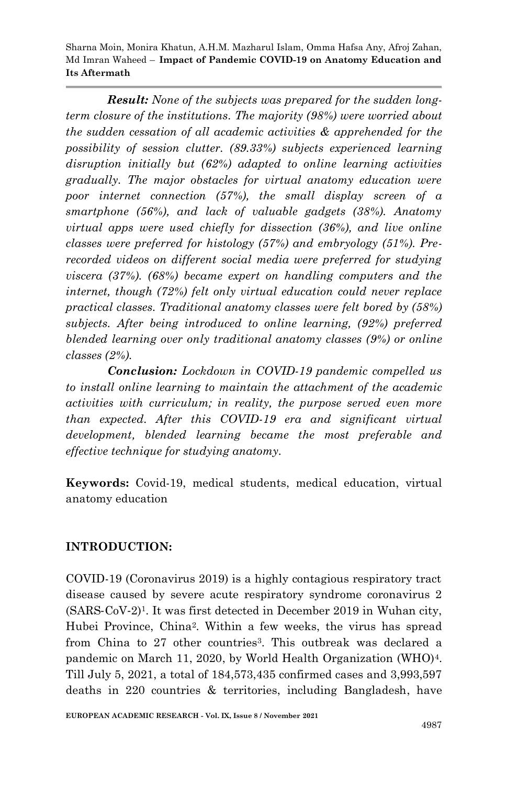*Result: None of the subjects was prepared for the sudden longterm closure of the institutions. The majority (98%) were worried about the sudden cessation of all academic activities & apprehended for the possibility of session clutter. (89.33%) subjects experienced learning disruption initially but (62%) adapted to online learning activities gradually. The major obstacles for virtual anatomy education were poor internet connection (57%), the small display screen of a smartphone (56%), and lack of valuable gadgets (38%). Anatomy virtual apps were used chiefly for dissection (36%), and live online classes were preferred for histology (57%) and embryology (51%). Prerecorded videos on different social media were preferred for studying viscera (37%). (68%) became expert on handling computers and the internet, though (72%) felt only virtual education could never replace practical classes. Traditional anatomy classes were felt bored by (58%) subjects. After being introduced to online learning, (92%) preferred blended learning over only traditional anatomy classes (9%) or online classes (2%).*

*Conclusion: Lockdown in COVID-19 pandemic compelled us to install online learning to maintain the attachment of the academic activities with curriculum; in reality, the purpose served even more than expected. After this COVID-19 era and significant virtual development, blended learning became the most preferable and effective technique for studying anatomy.*

**Keywords:** Covid-19, medical students, medical education, virtual anatomy education

# **INTRODUCTION:**

COVID-19 (Coronavirus 2019) is a highly contagious respiratory tract disease caused by severe acute respiratory syndrome coronavirus 2  $(SARS-CoV-2)<sup>1</sup>$ . It was first detected in December 2019 in Wuhan city, Hubei Province, China2. Within a few weeks, the virus has spread from China to 27 other countries<sup>3</sup>. This outbreak was declared a pandemic on March 11, 2020, by World Health Organization (WHO)4. Till July 5, 2021, a total of 184,573,435 confirmed cases and 3,993,597 deaths in 220 countries & territories, including Bangladesh, have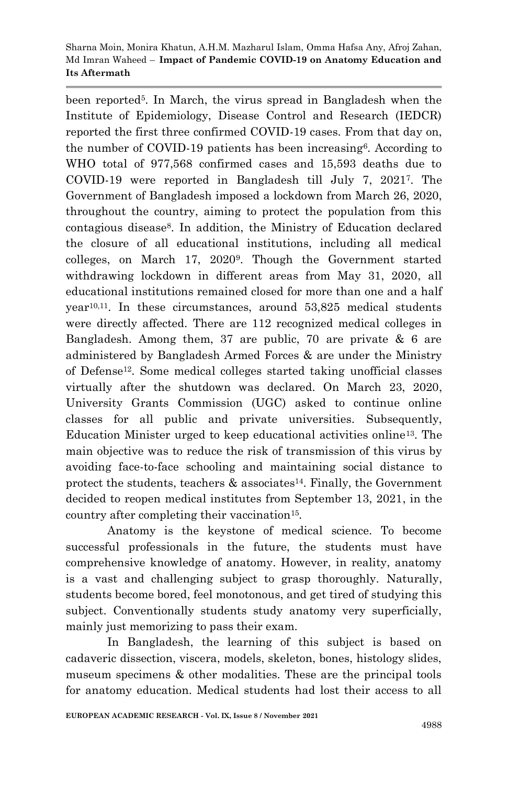been reported5. In March, the virus spread in Bangladesh when the Institute of Epidemiology, Disease Control and Research (IEDCR) reported the first three confirmed COVID-19 cases. From that day on, the number of COVID-19 patients has been increasing6. According to WHO total of 977,568 confirmed cases and 15,593 deaths due to COVID-19 were reported in Bangladesh till July 7, 20217. The Government of Bangladesh imposed a lockdown from March 26, 2020, throughout the country, aiming to protect the population from this contagious disease8. In addition, the Ministry of Education declared the closure of all educational institutions, including all medical colleges, on March 17, 20209. Though the Government started withdrawing lockdown in different areas from May 31, 2020, all educational institutions remained closed for more than one and a half year10,11. In these circumstances, around 53,825 medical students were directly affected. There are 112 recognized medical colleges in Bangladesh. Among them, 37 are public, 70 are private  $\&$  6 are administered by Bangladesh Armed Forces & are under the Ministry of Defense12. Some medical colleges started taking unofficial classes virtually after the shutdown was declared. On March 23, 2020, University Grants Commission (UGC) asked to continue online classes for all public and private universities. Subsequently, Education Minister urged to keep educational activities online13. The main objective was to reduce the risk of transmission of this virus by avoiding face-to-face schooling and maintaining social distance to protect the students, teachers  $\&$  associates<sup>14</sup>. Finally, the Government decided to reopen medical institutes from September 13, 2021, in the country after completing their vaccination<sup>15</sup>.

Anatomy is the keystone of medical science. To become successful professionals in the future, the students must have comprehensive knowledge of anatomy. However, in reality, anatomy is a vast and challenging subject to grasp thoroughly. Naturally, students become bored, feel monotonous, and get tired of studying this subject. Conventionally students study anatomy very superficially, mainly just memorizing to pass their exam.

In Bangladesh, the learning of this subject is based on cadaveric dissection, viscera, models, skeleton, bones, histology slides, museum specimens & other modalities. These are the principal tools for anatomy education. Medical students had lost their access to all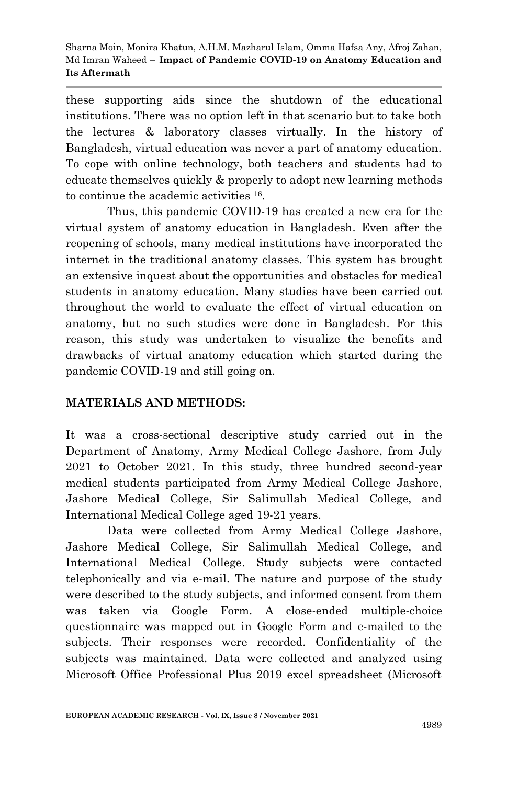these supporting aids since the shutdown of the educational institutions. There was no option left in that scenario but to take both the lectures & laboratory classes virtually. In the history of Bangladesh, virtual education was never a part of anatomy education. To cope with online technology, both teachers and students had to educate themselves quickly & properly to adopt new learning methods to continue the academic activities 16.

Thus, this pandemic COVID-19 has created a new era for the virtual system of anatomy education in Bangladesh. Even after the reopening of schools, many medical institutions have incorporated the internet in the traditional anatomy classes. This system has brought an extensive inquest about the opportunities and obstacles for medical students in anatomy education. Many studies have been carried out throughout the world to evaluate the effect of virtual education on anatomy, but no such studies were done in Bangladesh. For this reason, this study was undertaken to visualize the benefits and drawbacks of virtual anatomy education which started during the pandemic COVID-19 and still going on.

# **MATERIALS AND METHODS:**

It was a cross-sectional descriptive study carried out in the Department of Anatomy, Army Medical College Jashore, from July 2021 to October 2021. In this study, three hundred second-year medical students participated from Army Medical College Jashore, Jashore Medical College, Sir Salimullah Medical College, and International Medical College aged 19-21 years.

Data were collected from Army Medical College Jashore, Jashore Medical College, Sir Salimullah Medical College, and International Medical College. Study subjects were contacted telephonically and via e-mail. The nature and purpose of the study were described to the study subjects, and informed consent from them was taken via Google Form. A close-ended multiple-choice questionnaire was mapped out in Google Form and e-mailed to the subjects. Their responses were recorded. Confidentiality of the subjects was maintained. Data were collected and analyzed using Microsoft Office Professional Plus 2019 excel spreadsheet (Microsoft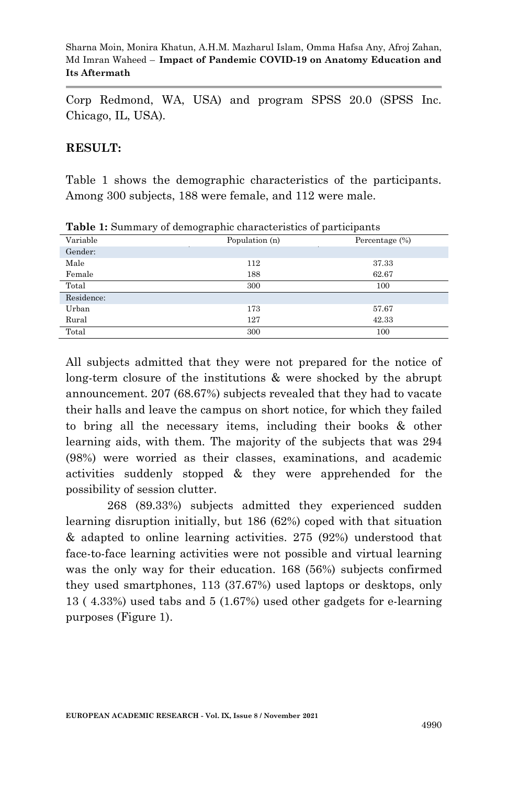Corp Redmond, WA, USA) and program SPSS 20.0 (SPSS Inc. Chicago, IL, USA).

### **RESULT:**

Table 1 shows the demographic characteristics of the participants. Among 300 subjects, 188 were female, and 112 were male.

| Variable   | Population (n) | Percentage $(\%)$ |
|------------|----------------|-------------------|
| Gender:    |                |                   |
| Male       | 112            | 37.33             |
| Female     | 188            | 62.67             |
| Total      | 300            | 100               |
| Residence: |                |                   |
| Urban      | 173            | 57.67             |
| Rural      | 127            | 42.33             |
| Total      | 300            | 100               |

**Table 1:** Summary of demographic characteristics of participants

All subjects admitted that they were not prepared for the notice of long-term closure of the institutions & were shocked by the abrupt announcement. 207 (68.67%) subjects revealed that they had to vacate their halls and leave the campus on short notice, for which they failed to bring all the necessary items, including their books & other learning aids, with them. The majority of the subjects that was 294 (98%) were worried as their classes, examinations, and academic activities suddenly stopped & they were apprehended for the possibility of session clutter.

268 (89.33%) subjects admitted they experienced sudden learning disruption initially, but 186 (62%) coped with that situation & adapted to online learning activities. 275 (92%) understood that face-to-face learning activities were not possible and virtual learning was the only way for their education. 168 (56%) subjects confirmed they used smartphones, 113 (37.67%) used laptops or desktops, only 13 ( 4.33%) used tabs and 5 (1.67%) used other gadgets for e-learning purposes (Figure 1).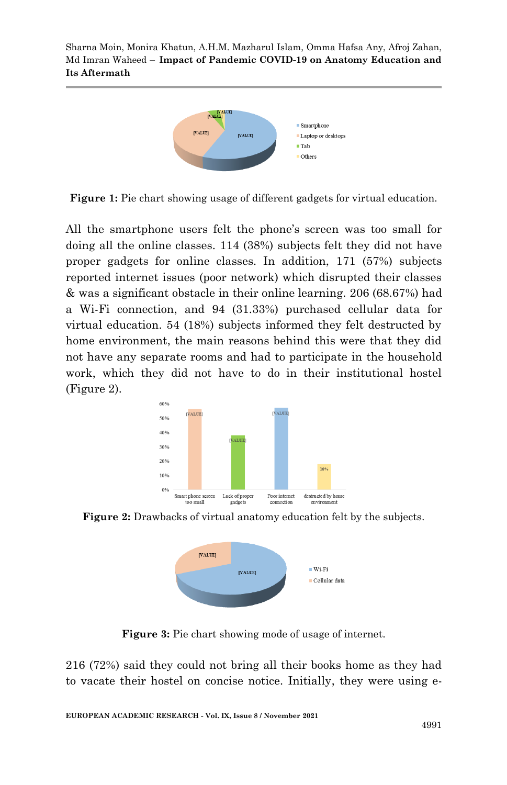

**Figure 1:** Pie chart showing usage of different gadgets for virtual education.

All the smartphone users felt the phone's screen was too small for doing all the online classes. 114 (38%) subjects felt they did not have proper gadgets for online classes. In addition, 171 (57%) subjects reported internet issues (poor network) which disrupted their classes & was a significant obstacle in their online learning. 206 (68.67%) had a Wi-Fi connection, and 94 (31.33%) purchased cellular data for virtual education. 54 (18%) subjects informed they felt destructed by home environment, the main reasons behind this were that they did not have any separate rooms and had to participate in the household work, which they did not have to do in their institutional hostel (Figure 2).



**Figure 2:** Drawbacks of virtual anatomy education felt by the subjects.



**Figure 3:** Pie chart showing mode of usage of internet.

216 (72%) said they could not bring all their books home as they had to vacate their hostel on concise notice. Initially, they were using e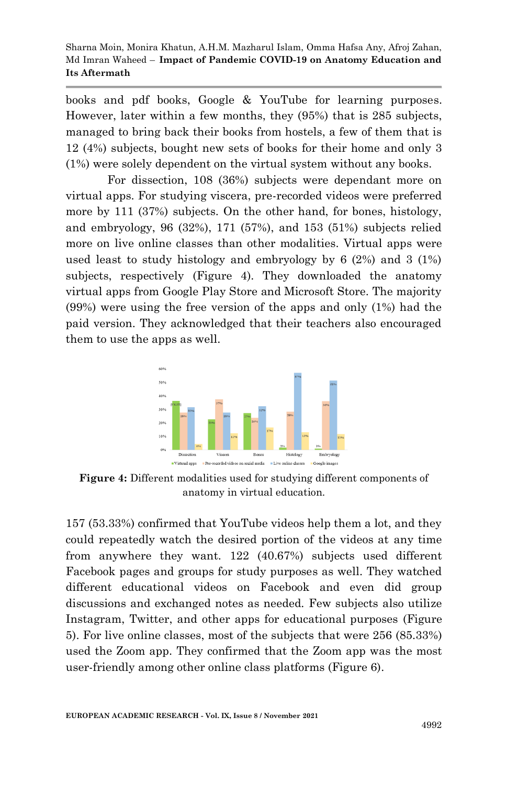books and pdf books, Google & YouTube for learning purposes. However, later within a few months, they (95%) that is 285 subjects, managed to bring back their books from hostels, a few of them that is 12 (4%) subjects, bought new sets of books for their home and only 3 (1%) were solely dependent on the virtual system without any books.

For dissection, 108 (36%) subjects were dependant more on virtual apps. For studying viscera, pre-recorded videos were preferred more by 111 (37%) subjects. On the other hand, for bones, histology, and embryology, 96 (32%), 171 (57%), and 153 (51%) subjects relied more on live online classes than other modalities. Virtual apps were used least to study histology and embryology by 6 (2%) and 3 (1%) subjects, respectively (Figure 4). They downloaded the anatomy virtual apps from Google Play Store and Microsoft Store. The majority (99%) were using the free version of the apps and only (1%) had the paid version. They acknowledged that their teachers also encouraged them to use the apps as well.



**Figure 4:** Different modalities used for studying different components of anatomy in virtual education.

157 (53.33%) confirmed that YouTube videos help them a lot, and they could repeatedly watch the desired portion of the videos at any time from anywhere they want. 122 (40.67%) subjects used different Facebook pages and groups for study purposes as well. They watched different educational videos on Facebook and even did group discussions and exchanged notes as needed. Few subjects also utilize Instagram, Twitter, and other apps for educational purposes (Figure 5). For live online classes, most of the subjects that were 256 (85.33%) used the Zoom app. They confirmed that the Zoom app was the most user-friendly among other online class platforms (Figure 6).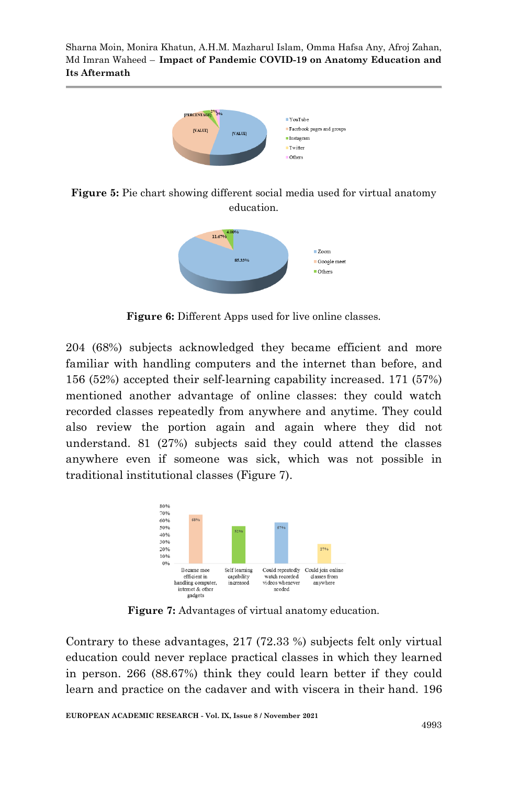

**Figure 5:** Pie chart showing different social media used for virtual anatomy education.



**Figure 6:** Different Apps used for live online classes.

204 (68%) subjects acknowledged they became efficient and more familiar with handling computers and the internet than before, and 156 (52%) accepted their self-learning capability increased. 171 (57%) mentioned another advantage of online classes: they could watch recorded classes repeatedly from anywhere and anytime. They could also review the portion again and again where they did not understand. 81 (27%) subjects said they could attend the classes anywhere even if someone was sick, which was not possible in traditional institutional classes (Figure 7).



**Figure 7:** Advantages of virtual anatomy education.

Contrary to these advantages, 217 (72.33 %) subjects felt only virtual education could never replace practical classes in which they learned in person. 266 (88.67%) think they could learn better if they could learn and practice on the cadaver and with viscera in their hand. 196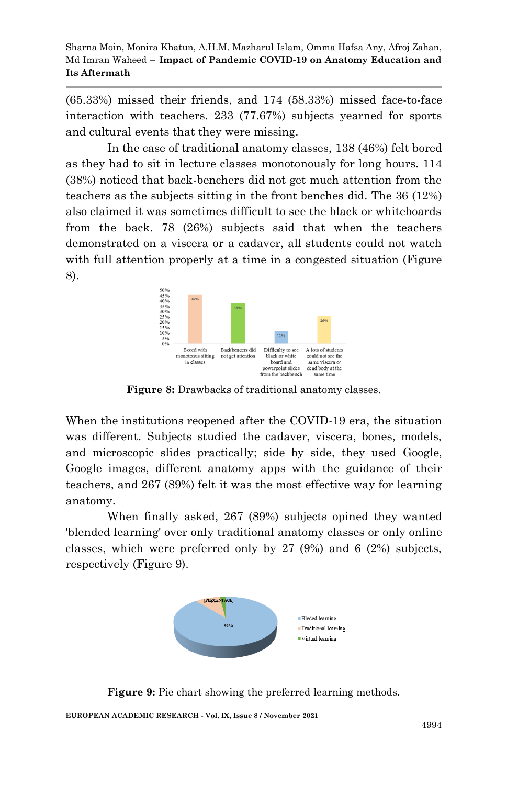(65.33%) missed their friends, and 174 (58.33%) missed face-to-face interaction with teachers. 233 (77.67%) subjects yearned for sports and cultural events that they were missing.

In the case of traditional anatomy classes, 138 (46%) felt bored as they had to sit in lecture classes monotonously for long hours. 114 (38%) noticed that back-benchers did not get much attention from the teachers as the subjects sitting in the front benches did. The 36 (12%) also claimed it was sometimes difficult to see the black or whiteboards from the back. 78 (26%) subjects said that when the teachers demonstrated on a viscera or a cadaver, all students could not watch with full attention properly at a time in a congested situation (Figure 8).



**Figure 8:** Drawbacks of traditional anatomy classes.

When the institutions reopened after the COVID-19 era, the situation was different. Subjects studied the cadaver, viscera, bones, models, and microscopic slides practically; side by side, they used Google, Google images, different anatomy apps with the guidance of their teachers, and 267 (89%) felt it was the most effective way for learning anatomy.

When finally asked, 267 (89%) subjects opined they wanted 'blended learning' over only traditional anatomy classes or only online classes, which were preferred only by 27 (9%) and 6 (2%) subjects, respectively (Figure 9).



**Figure 9:** Pie chart showing the preferred learning methods.

**EUROPEAN ACADEMIC RESEARCH - Vol. IX, Issue 8 / November 2021**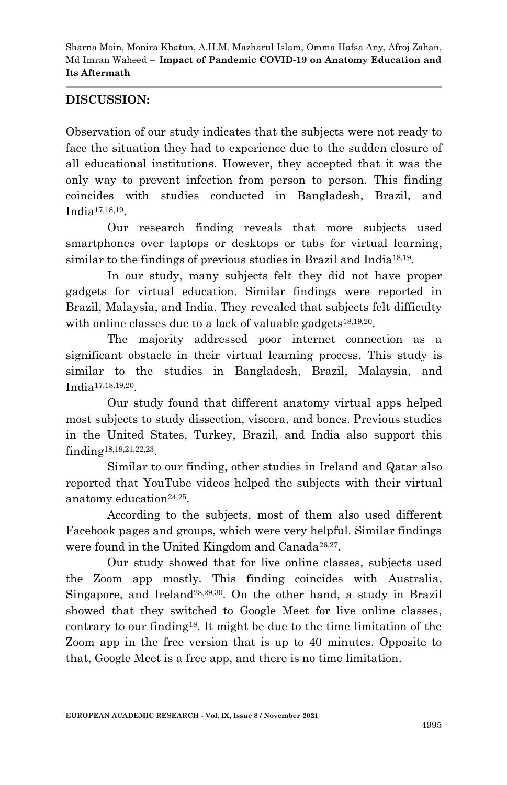# **DISCUSSION:**

Observation of our study indicates that the subjects were not ready to face the situation they had to experience due to the sudden closure of all educational institutions. However, they accepted that it was the only way to prevent infection from person to person. This finding coincides with studies conducted in Bangladesh, Brazil, and India17,18,19.

Our research finding reveals that more subjects used smartphones over laptops or desktops or tabs for virtual learning, similar to the findings of previous studies in Brazil and India<sup>18,19</sup>.

In our study, many subjects felt they did not have proper gadgets for virtual education. Similar findings were reported in Brazil, Malaysia, and India. They revealed that subjects felt difficulty with online classes due to a lack of valuable gadgets<sup>18,19,20</sup>.

The majority addressed poor internet connection as a significant obstacle in their virtual learning process. This study is similar to the studies in Bangladesh, Brazil, Malaysia, and India17,18,19,20.

Our study found that different anatomy virtual apps helped most subjects to study dissection, viscera, and bones. Previous studies in the United States, Turkey, Brazil, and India also support this finding18,19,21,22,23.

Similar to our finding, other studies in Ireland and Qatar also reported that YouTube videos helped the subjects with their virtual anatomy education $24,25$ .

According to the subjects, most of them also used different Facebook pages and groups, which were very helpful. Similar findings were found in the United Kingdom and Canada<sup>26,27</sup>.

Our study showed that for live online classes, subjects used the Zoom app mostly. This finding coincides with Australia, Singapore, and Ireland28,29,30. On the other hand, a study in Brazil showed that they switched to Google Meet for live online classes, contrary to our finding<sup>18</sup>. It might be due to the time limitation of the Zoom app in the free version that is up to 40 minutes. Opposite to that, Google Meet is a free app, and there is no time limitation.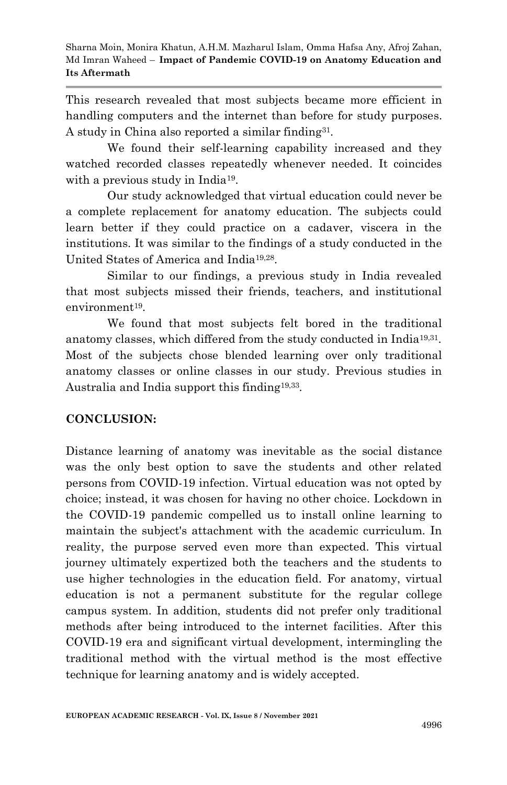This research revealed that most subjects became more efficient in handling computers and the internet than before for study purposes. A study in China also reported a similar finding31.

We found their self-learning capability increased and they watched recorded classes repeatedly whenever needed. It coincides with a previous study in India<sup>19</sup>.

Our study acknowledged that virtual education could never be a complete replacement for anatomy education. The subjects could learn better if they could practice on a cadaver, viscera in the institutions. It was similar to the findings of a study conducted in the United States of America and India19,28.

Similar to our findings, a previous study in India revealed that most subjects missed their friends, teachers, and institutional environment<sup>19</sup>.

We found that most subjects felt bored in the traditional anatomy classes, which differed from the study conducted in India19,31. Most of the subjects chose blended learning over only traditional anatomy classes or online classes in our study. Previous studies in Australia and India support this finding19,33.

# **CONCLUSION:**

Distance learning of anatomy was inevitable as the social distance was the only best option to save the students and other related persons from COVID-19 infection. Virtual education was not opted by choice; instead, it was chosen for having no other choice. Lockdown in the COVID-19 pandemic compelled us to install online learning to maintain the subject's attachment with the academic curriculum. In reality, the purpose served even more than expected. This virtual journey ultimately expertized both the teachers and the students to use higher technologies in the education field. For anatomy, virtual education is not a permanent substitute for the regular college campus system. In addition, students did not prefer only traditional methods after being introduced to the internet facilities. After this COVID-19 era and significant virtual development, intermingling the traditional method with the virtual method is the most effective technique for learning anatomy and is widely accepted.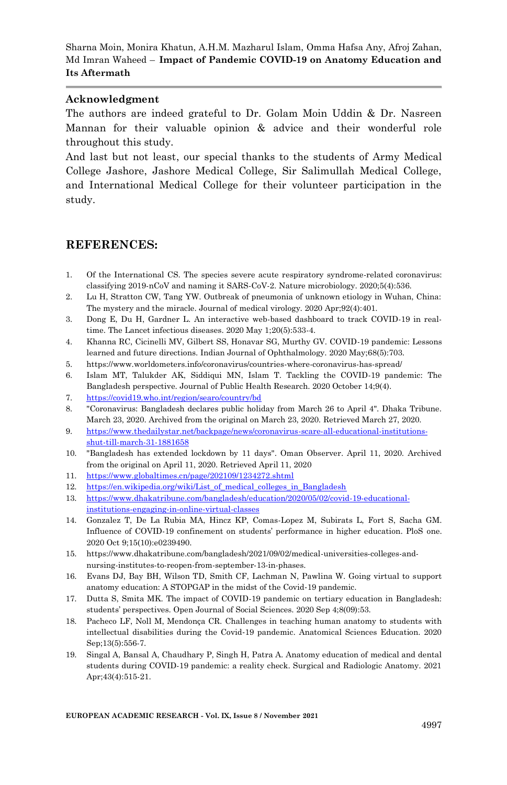#### **Acknowledgment**

The authors are indeed grateful to Dr. Golam Moin Uddin & Dr. Nasreen Mannan for their valuable opinion & advice and their wonderful role throughout this study.

And last but not least, our special thanks to the students of Army Medical College Jashore, Jashore Medical College, Sir Salimullah Medical College, and International Medical College for their volunteer participation in the study.

## **REFERENCES:**

- 1. Of the International CS. The species severe acute respiratory syndrome-related coronavirus: classifying 2019-nCoV and naming it SARS-CoV-2. Nature microbiology. 2020;5(4):536.
- 2. Lu H, Stratton CW, Tang YW. Outbreak of pneumonia of unknown etiology in Wuhan, China: The mystery and the miracle. Journal of medical virology. 2020 Apr;92(4):401.
- 3. Dong E, Du H, Gardner L. An interactive web-based dashboard to track COVID-19 in realtime. The Lancet infectious diseases. 2020 May 1;20(5):533-4.
- 4. Khanna RC, Cicinelli MV, Gilbert SS, Honavar SG, Murthy GV. COVID-19 pandemic: Lessons learned and future directions. Indian Journal of Ophthalmology. 2020 May;68(5):703.
- 5. https://www.worldometers.info/coronavirus/countries-where-coronavirus-has-spread/
- 6. Islam MT, Talukder AK, Siddiqui MN, Islam T. Tackling the COVID-19 pandemic: The Bangladesh perspective. Journal of Public Health Research. 2020 October 14;9(4).
- 7. <https://covid19.who.int/region/searo/country/bd>
- 8. "Coronavirus: Bangladesh declares public holiday from March 26 to April 4". Dhaka Tribune. March 23, 2020. Archived from the original on March 23, 2020. Retrieved March 27, 2020.
- 9. [https://www.thedailystar.net/backpage/news/coronavirus-scare-all-educational-institutions](https://www.thedailystar.net/backpage/news/coronavirus-scare-all-educational-institutions-shut-till-march-31-1881658)[shut-till-march-31-1881658](https://www.thedailystar.net/backpage/news/coronavirus-scare-all-educational-institutions-shut-till-march-31-1881658)
- 10. "Bangladesh has extended lockdown by 11 days". Oman Observer. April 11, 2020. Archived from the original on April 11, 2020. Retrieved April 11, 2020
- 11. <https://www.globaltimes.cn/page/202109/1234272.shtml>
- 12. [https://en.wikipedia.org/wiki/List\\_of\\_medical\\_colleges\\_in\\_Bangladesh](https://en.wikipedia.org/wiki/List_of_medical_colleges_in_Bangladesh)
- 13. [https://www.dhakatribune.com/bangladesh/education/2020/05/02/covid-19-educational](https://www.dhakatribune.com/bangladesh/education/2020/05/02/covid-19-educational-institutions-engaging-in-online-virtual-classes)[institutions-engaging-in-online-virtual-classes](https://www.dhakatribune.com/bangladesh/education/2020/05/02/covid-19-educational-institutions-engaging-in-online-virtual-classes)
- 14. Gonzalez T, De La Rubia MA, Hincz KP, Comas-Lopez M, Subirats L, Fort S, Sacha GM. Influence of COVID-19 confinement on students' performance in higher education. PloS one. 2020 Oct 9;15(10):e0239490.
- 15. https://www.dhakatribune.com/bangladesh/2021/09/02/medical-universities-colleges-andnursing-institutes-to-reopen-from-september-13-in-phases.
- 16. Evans DJ, Bay BH, Wilson TD, Smith CF, Lachman N, Pawlina W. Going virtual to support anatomy education: A STOPGAP in the midst of the Covid-19 pandemic.
- 17. Dutta S, Smita MK. The impact of COVID-19 pandemic on tertiary education in Bangladesh: students' perspectives. Open Journal of Social Sciences. 2020 Sep 4;8(09):53.
- 18. Pacheco LF, Noll M, Mendonça CR. Challenges in teaching human anatomy to students with intellectual disabilities during the Covid-19 pandemic. Anatomical Sciences Education. 2020 Sep;13(5):556-7.
- 19. Singal A, Bansal A, Chaudhary P, Singh H, Patra A. Anatomy education of medical and dental students during COVID-19 pandemic: a reality check. Surgical and Radiologic Anatomy. 2021 Apr;43(4):515-21.